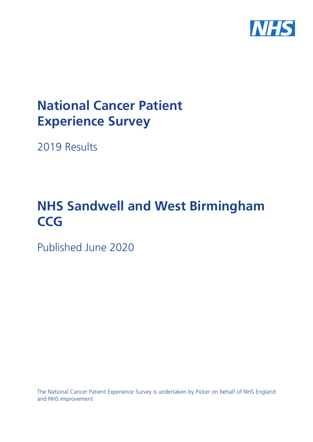

# **National Cancer Patient Experience Survey**

2019 Results

# **NHS Sandwell and West Birmingham CCG**

Published June 2020

The National Cancer Patient Experience Survey is undertaken by Picker on behalf of NHS England and NHS Improvement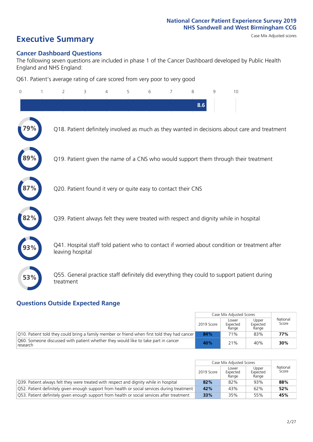# **Executive Summary** Case Mix Adjusted scores

### **Cancer Dashboard Questions**

The following seven questions are included in phase 1 of the Cancer Dashboard developed by Public Health England and NHS England:

Q61. Patient's average rating of care scored from very poor to very good

| $\Omega$ | $\overline{2}$                                                | 3 | 5 | 6 | $\overline{7}$ | 8   | 9 | 10                                                                                            |
|----------|---------------------------------------------------------------|---|---|---|----------------|-----|---|-----------------------------------------------------------------------------------------------|
|          |                                                               |   |   |   |                | 8.6 |   |                                                                                               |
|          |                                                               |   |   |   |                |     |   | Q18. Patient definitely involved as much as they wanted in decisions about care and treatment |
| 89%      |                                                               |   |   |   |                |     |   | Q19. Patient given the name of a CNS who would support them through their treatment           |
|          | Q20. Patient found it very or quite easy to contact their CNS |   |   |   |                |     |   |                                                                                               |
| 82%      |                                                               |   |   |   |                |     |   | Q39. Patient always felt they were treated with respect and dignity while in hospital         |
|          | leaving hospital                                              |   |   |   |                |     |   | Q41. Hospital staff told patient who to contact if worried about condition or treatment after |
| 53%      | treatment                                                     |   |   |   |                |     |   | Q55. General practice staff definitely did everything they could to support patient during    |

### **Questions Outside Expected Range**

|                                                                                                |            | Case Mix Adjusted Scores   |                            |                   |
|------------------------------------------------------------------------------------------------|------------|----------------------------|----------------------------|-------------------|
|                                                                                                | 2019 Score | Lower<br>Expected<br>Range | Upper<br>Expected<br>Range | National<br>Score |
| Q10. Patient told they could bring a family member or friend when first told they had cancer   | 84%        | 71%                        | 83%                        | 77%               |
| Q60. Someone discussed with patient whether they would like to take part in cancer<br>research | 40%        | 21%                        | 40%                        | 30%               |

|                                                                                              |            | Case Mix Adjusted Scores   |                            |                   |
|----------------------------------------------------------------------------------------------|------------|----------------------------|----------------------------|-------------------|
|                                                                                              | 2019 Score | Lower<br>Expected<br>Range | Upper<br>Expected<br>Range | National<br>Score |
| O39. Patient always felt they were treated with respect and dignity while in hospital        | 82%        | 82%                        | 93%                        | 88%               |
| O52. Patient definitely given enough support from health or social services during treatment | 42%        | 43%                        | 62%                        | 52%               |
| O53. Patient definitely given enough support from health or social services after treatment  | 33%        | 35%                        | 55%                        | 45%               |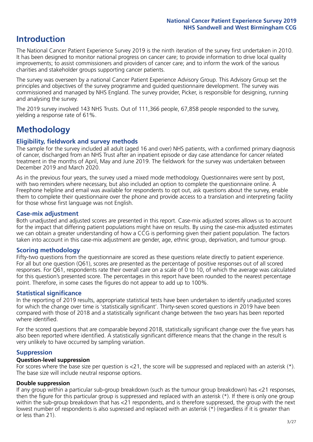### **Introduction**

The National Cancer Patient Experience Survey 2019 is the ninth iteration of the survey first undertaken in 2010. It has been designed to monitor national progress on cancer care; to provide information to drive local quality improvements; to assist commissioners and providers of cancer care; and to inform the work of the various charities and stakeholder groups supporting cancer patients.

The survey was overseen by a national Cancer Patient Experience Advisory Group. This Advisory Group set the principles and objectives of the survey programme and guided questionnaire development. The survey was commissioned and managed by NHS England. The survey provider, Picker, is responsible for designing, running and analysing the survey.

The 2019 survey involved 143 NHS Trusts. Out of 111,366 people, 67,858 people responded to the survey, yielding a response rate of 61%.

## **Methodology**

### **Eligibility, eldwork and survey methods**

The sample for the survey included all adult (aged 16 and over) NHS patients, with a confirmed primary diagnosis of cancer, discharged from an NHS Trust after an inpatient episode or day case attendance for cancer related treatment in the months of April, May and June 2019. The fieldwork for the survey was undertaken between December 2019 and March 2020.

As in the previous four years, the survey used a mixed mode methodology. Questionnaires were sent by post, with two reminders where necessary, but also included an option to complete the questionnaire online. A Freephone helpline and email was available for respondents to opt out, ask questions about the survey, enable them to complete their questionnaire over the phone and provide access to a translation and interpreting facility for those whose first language was not English.

### **Case-mix adjustment**

Both unadjusted and adjusted scores are presented in this report. Case-mix adjusted scores allows us to account for the impact that differing patient populations might have on results. By using the case-mix adjusted estimates we can obtain a greater understanding of how a CCG is performing given their patient population. The factors taken into account in this case-mix adjustment are gender, age, ethnic group, deprivation, and tumour group.

### **Scoring methodology**

Fifty-two questions from the questionnaire are scored as these questions relate directly to patient experience. For all but one question (Q61), scores are presented as the percentage of positive responses out of all scored responses. For Q61, respondents rate their overall care on a scale of 0 to 10, of which the average was calculated for this question's presented score. The percentages in this report have been rounded to the nearest percentage point. Therefore, in some cases the figures do not appear to add up to 100%.

### **Statistical significance**

In the reporting of 2019 results, appropriate statistical tests have been undertaken to identify unadjusted scores for which the change over time is 'statistically significant'. Thirty-seven scored questions in 2019 have been compared with those of 2018 and a statistically significant change between the two years has been reported where identified.

For the scored questions that are comparable beyond 2018, statistically significant change over the five years has also been reported where identified. A statistically significant difference means that the change in the result is very unlikely to have occurred by sampling variation.

### **Suppression**

### **Question-level suppression**

For scores where the base size per question is  $<$ 21, the score will be suppressed and replaced with an asterisk (\*). The base size will include neutral response options.

### **Double suppression**

If any group within a particular sub-group breakdown (such as the tumour group breakdown) has <21 responses, then the figure for this particular group is suppressed and replaced with an asterisk (\*). If there is only one group within the sub-group breakdown that has <21 respondents, and is therefore suppressed, the group with the next lowest number of respondents is also supressed and replaced with an asterisk (\*) (regardless if it is greater than or less than 21).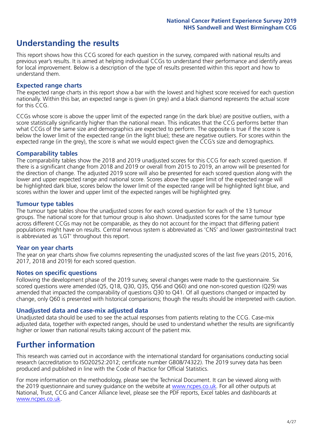### **Understanding the results**

This report shows how this CCG scored for each question in the survey, compared with national results and previous year's results. It is aimed at helping individual CCGs to understand their performance and identify areas for local improvement. Below is a description of the type of results presented within this report and how to understand them.

### **Expected range charts**

The expected range charts in this report show a bar with the lowest and highest score received for each question nationally. Within this bar, an expected range is given (in grey) and a black diamond represents the actual score for this CCG.

CCGs whose score is above the upper limit of the expected range (in the dark blue) are positive outliers, with a score statistically significantly higher than the national mean. This indicates that the CCG performs better than what CCGs of the same size and demographics are expected to perform. The opposite is true if the score is below the lower limit of the expected range (in the light blue); these are negative outliers. For scores within the expected range (in the grey), the score is what we would expect given the CCG's size and demographics.

### **Comparability tables**

The comparability tables show the 2018 and 2019 unadjusted scores for this CCG for each scored question. If there is a significant change from 2018 and 2019 or overall from 2015 to 2019, an arrow will be presented for the direction of change. The adjusted 2019 score will also be presented for each scored question along with the lower and upper expected range and national score. Scores above the upper limit of the expected range will be highlighted dark blue, scores below the lower limit of the expected range will be highlighted light blue, and scores within the lower and upper limit of the expected ranges will be highlighted grey.

### **Tumour type tables**

The tumour type tables show the unadjusted scores for each scored question for each of the 13 tumour groups. The national score for that tumour group is also shown. Unadjusted scores for the same tumour type across different CCGs may not be comparable, as they do not account for the impact that differing patient populations might have on results. Central nervous system is abbreviated as 'CNS' and lower gastrointestinal tract is abbreviated as 'LGT' throughout this report.

### **Year on year charts**

The year on year charts show five columns representing the unadjusted scores of the last five years (2015, 2016, 2017, 2018 and 2019) for each scored question.

### **Notes on specific questions**

Following the development phase of the 2019 survey, several changes were made to the questionnaire. Six scored questions were amended (Q5, Q18, Q30, Q35, Q56 and Q60) and one non-scored question (Q29) was amended that impacted the comparability of questions Q30 to Q41. Of all questions changed or impacted by change, only Q60 is presented with historical comparisons; though the results should be interpreted with caution.

### **Unadjusted data and case-mix adjusted data**

Unadjusted data should be used to see the actual responses from patients relating to the CCG. Case-mix adjusted data, together with expected ranges, should be used to understand whether the results are significantly higher or lower than national results taking account of the patient mix.

### **Further information**

This research was carried out in accordance with the international standard for organisations conducting social research (accreditation to ISO20252:2012; certificate number GB08/74322). The 2019 survey data has been produced and published in line with the Code of Practice for Official Statistics.

For more information on the methodology, please see the Technical Document. It can be viewed along with the 2019 questionnaire and survey quidance on the website at [www.ncpes.co.uk](https://www.ncpes.co.uk/supporting-documents). For all other outputs at National, Trust, CCG and Cancer Alliance level, please see the PDF reports, Excel tables and dashboards at [www.ncpes.co.uk.](https://www.ncpes.co.uk/current-results)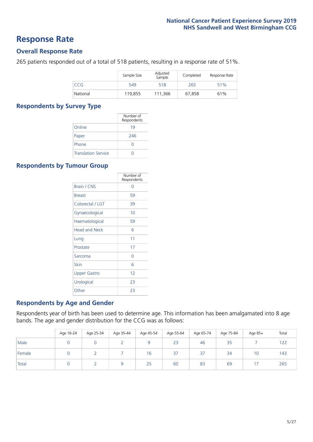### **Response Rate**

### **Overall Response Rate**

265 patients responded out of a total of 518 patients, resulting in a response rate of 51%.

|          | Sample Size | Adjusted<br>Sample | Completed | Response Rate |
|----------|-------------|--------------------|-----------|---------------|
| CCG      | 549         | 518                | 265       | 51%           |
| National | 119,855     | 111.366            | 67,858    | 61%           |

### **Respondents by Survey Type**

|                            | Number of<br>Respondents |
|----------------------------|--------------------------|
| Online                     | 19                       |
| Paper                      | 246                      |
| Phone                      | Ω                        |
| <b>Translation Service</b> |                          |

### **Respondents by Tumour Group**

|                      | Number of<br>Respondents |
|----------------------|--------------------------|
| Brain / CNS          | ∩                        |
| <b>Breast</b>        | 59                       |
| Colorectal / LGT     | 39                       |
| Gynaecological       | 10                       |
| Haematological       | 59                       |
| <b>Head and Neck</b> | 6                        |
| Lung                 | 11                       |
| Prostate             | 17                       |
| Sarcoma              | Ω                        |
| Skin                 | 6                        |
| Upper Gastro         | 12                       |
| Urological           | 23                       |
| Other                | 23                       |

### **Respondents by Age and Gender**

Respondents year of birth has been used to determine age. This information has been amalgamated into 8 age bands. The age and gender distribution for the CCG was as follows:

|        | Age 16-24 | Age 25-34 | Age 35-44 | Age 45-54 | Age 55-64 | Age 65-74 | Age 75-84 | Age 85+ | Total |
|--------|-----------|-----------|-----------|-----------|-----------|-----------|-----------|---------|-------|
| Male   |           |           |           |           | 23        | 46        | 35        |         | 122   |
| Female |           |           |           | 16        | 37        | 37        | 34        | 10      | 143   |
| Total  |           |           |           | 25        | 60        | 83        | 69        |         | 265   |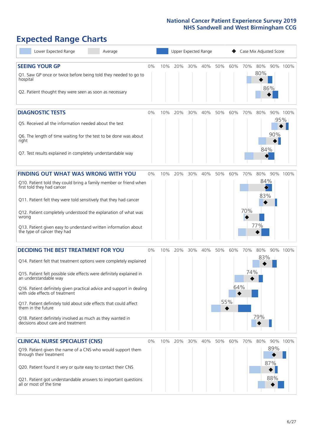# **Expected Range Charts**

| Lower Expected Range<br>Average                                                                         |    |     |     |     | Upper Expected Range |     |     |     | Case Mix Adjusted Score |     |          |
|---------------------------------------------------------------------------------------------------------|----|-----|-----|-----|----------------------|-----|-----|-----|-------------------------|-----|----------|
| <b>SEEING YOUR GP</b>                                                                                   | 0% | 10% | 20% | 30% | 40%                  | 50% | 60% | 70% | 80%<br>80%              |     | 90% 100% |
| Q1. Saw GP once or twice before being told they needed to go to<br>hospital                             |    |     |     |     |                      |     |     |     |                         | 86% |          |
| Q2. Patient thought they were seen as soon as necessary                                                 |    |     |     |     |                      |     |     |     |                         |     |          |
| <b>DIAGNOSTIC TESTS</b>                                                                                 | 0% | 10% | 20% | 30% | 40%                  | 50% | 60% | 70% | 80%                     |     | 90% 100% |
| Q5. Received all the information needed about the test                                                  |    |     |     |     |                      |     |     |     |                         |     | 95%      |
| Q6. The length of time waiting for the test to be done was about<br>right                               |    |     |     |     |                      |     |     |     |                         | 90% |          |
| Q7. Test results explained in completely understandable way                                             |    |     |     |     |                      |     |     |     | 84%                     |     |          |
| <b>FINDING OUT WHAT WAS WRONG WITH YOU</b>                                                              | 0% | 10% | 20% | 30% | 40%                  | 50% | 60% | 70% | 80%                     |     | 90% 100% |
| Q10. Patient told they could bring a family member or friend when<br>first told they had cancer         |    |     |     |     |                      |     |     |     | 84%                     |     |          |
| Q11. Patient felt they were told sensitively that they had cancer                                       |    |     |     |     |                      |     |     |     | 83%                     |     |          |
| Q12. Patient completely understood the explanation of what was<br>wrong                                 |    |     |     |     |                      |     |     | 70% |                         |     |          |
| Q13. Patient given easy to understand written information about<br>the type of cancer they had          |    |     |     |     |                      |     |     |     | 77%                     |     |          |
| <b>DECIDING THE BEST TREATMENT FOR YOU</b>                                                              | 0% | 10% | 20% | 30% | 40%                  | 50% | 60% | 70% | 80%                     |     | 90% 100% |
| Q14. Patient felt that treatment options were completely explained                                      |    |     |     |     |                      |     |     |     | 83%                     |     |          |
| Q15. Patient felt possible side effects were definitely explained in<br>an understandable way           |    |     |     |     |                      |     |     | 74% |                         |     |          |
| Q16. Patient definitely given practical advice and support in dealing<br>with side effects of treatment |    |     |     |     |                      |     | 64% |     |                         |     |          |
| Q17. Patient definitely told about side effects that could affect<br>them in the future                 |    |     |     |     |                      |     | 55% |     |                         |     |          |
| Q18. Patient definitely involved as much as they wanted in<br>decisions about care and treatment        |    |     |     |     |                      |     |     |     | 79%                     |     |          |
| <b>CLINICAL NURSE SPECIALIST (CNS)</b>                                                                  | 0% | 10% | 20% | 30% | 40%                  | 50% | 60% | 70% | 80%                     |     | 90% 100% |
| Q19. Patient given the name of a CNS who would support them<br>through their treatment                  |    |     |     |     |                      |     |     |     |                         | 89% |          |
| Q20. Patient found it very or quite easy to contact their CNS                                           |    |     |     |     |                      |     |     |     |                         | 87% |          |
| Q21. Patient got understandable answers to important questions<br>all or most of the time               |    |     |     |     |                      |     |     |     |                         | 88% |          |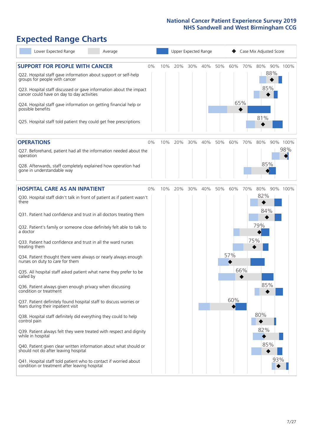# **Expected Range Charts**

| Lower Expected Range<br>Average                                                                                                                                                                                                                                                                                                                                                                                               |    |     | Upper Expected Range |     |     |     |            |     | Case Mix Adjusted Score  |                 |
|-------------------------------------------------------------------------------------------------------------------------------------------------------------------------------------------------------------------------------------------------------------------------------------------------------------------------------------------------------------------------------------------------------------------------------|----|-----|----------------------|-----|-----|-----|------------|-----|--------------------------|-----------------|
| <b>SUPPORT FOR PEOPLE WITH CANCER</b><br>Q22. Hospital staff gave information about support or self-help<br>groups for people with cancer<br>Q23. Hospital staff discussed or gave information about the impact<br>cancer could have on day to day activities<br>Q24. Hospital staff gave information on getting financial help or<br>possible benefits<br>Q25. Hospital staff told patient they could get free prescriptions | 0% | 10% | 20%                  | 30% | 40% | 50% | 60%<br>65% | 70% | 80%<br>88%<br>85%<br>81% | 90% 100%        |
| <b>OPERATIONS</b>                                                                                                                                                                                                                                                                                                                                                                                                             | 0% | 10% | 20%                  | 30% | 40% | 50% | 60%        | 70% | 80%                      | 90% 100%<br>98% |
| Q27. Beforehand, patient had all the information needed about the<br>operation<br>Q28. Afterwards, staff completely explained how operation had<br>gone in understandable way                                                                                                                                                                                                                                                 |    |     |                      |     |     |     |            |     | 85%                      |                 |
| <b>HOSPITAL CARE AS AN INPATIENT</b>                                                                                                                                                                                                                                                                                                                                                                                          | 0% | 10% | 20%                  | 30% | 40% | 50% | 60%        | 70% | 80%                      | 90% 100%        |
| Q30. Hospital staff didn't talk in front of patient as if patient wasn't<br>there<br>Q31. Patient had confidence and trust in all doctors treating them                                                                                                                                                                                                                                                                       |    |     |                      |     |     |     |            |     | 82%<br>84%               |                 |
| Q32. Patient's family or someone close definitely felt able to talk to<br>a doctor                                                                                                                                                                                                                                                                                                                                            |    |     |                      |     |     |     |            |     | 79%                      |                 |
| Q33. Patient had confidence and trust in all the ward nurses<br>treating them                                                                                                                                                                                                                                                                                                                                                 |    |     |                      |     |     |     |            | 75% |                          |                 |
| Q34. Patient thought there were always or nearly always enough<br>nurses on duty to care for them                                                                                                                                                                                                                                                                                                                             |    |     |                      |     |     |     | 57%        |     |                          |                 |
| Q35. All hospital staff asked patient what name they prefer to be<br>called by                                                                                                                                                                                                                                                                                                                                                |    |     |                      |     |     |     |            | 66% |                          |                 |
| Q36. Patient always given enough privacy when discussing<br>condition or treatment                                                                                                                                                                                                                                                                                                                                            |    |     |                      |     |     |     |            |     | 85%                      |                 |
| Q37. Patient definitely found hospital staff to discuss worries or<br>fears during their inpatient visit                                                                                                                                                                                                                                                                                                                      |    |     |                      |     |     |     | 60%        |     |                          |                 |
| Q38. Hospital staff definitely did everything they could to help<br>control pain                                                                                                                                                                                                                                                                                                                                              |    |     |                      |     |     |     |            |     | 80%                      |                 |
| Q39. Patient always felt they were treated with respect and dignity<br>while in hospital                                                                                                                                                                                                                                                                                                                                      |    |     |                      |     |     |     |            |     | 82%                      |                 |
| Q40. Patient given clear written information about what should or<br>should not do after leaving hospital                                                                                                                                                                                                                                                                                                                     |    |     |                      |     |     |     |            |     | 85%                      |                 |
| Q41. Hospital staff told patient who to contact if worried about<br>condition or treatment after leaving hospital                                                                                                                                                                                                                                                                                                             |    |     |                      |     |     |     |            |     |                          | 93%             |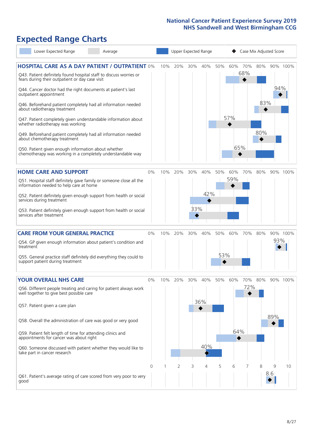# **Expected Range Charts**

| Lower Expected Range<br>Average                                                                                       |          |     | Upper Expected Range |     |     |     |          |            | Case Mix Adjusted Score |     |          |
|-----------------------------------------------------------------------------------------------------------------------|----------|-----|----------------------|-----|-----|-----|----------|------------|-------------------------|-----|----------|
| <b>HOSPITAL CARE AS A DAY PATIENT / OUTPATIENT 0%</b>                                                                 |          | 10% | 20%                  | 30% | 40% | 50% | 60%      | 70%<br>68% | 80%                     |     | 90% 100% |
| Q43. Patient definitely found hospital staff to discuss worries or<br>fears during their outpatient or day case visit |          |     |                      |     |     |     |          |            |                         | 94% |          |
| Q44. Cancer doctor had the right documents at patient's last<br>outpatient appointment                                |          |     |                      |     |     |     |          |            |                         |     |          |
| Q46. Beforehand patient completely had all information needed<br>about radiotherapy treatment                         |          |     |                      |     |     |     |          |            | 83%                     |     |          |
| Q47. Patient completely given understandable information about<br>whether radiotherapy was working                    |          |     |                      |     |     |     | 57%      |            |                         |     |          |
| Q49. Beforehand patient completely had all information needed<br>about chemotherapy treatment                         |          |     |                      |     |     |     |          |            | 80%                     |     |          |
| Q50. Patient given enough information about whether<br>chemotherapy was working in a completely understandable way    |          |     |                      |     |     |     | 65%      |            |                         |     |          |
| <b>HOME CARE AND SUPPORT</b>                                                                                          | 0%       | 10% | 20%                  | 30% | 40% | 50% | 60%      | 70%        | 80%                     |     | 90% 100% |
| Q51. Hospital staff definitely gave family or someone close all the<br>information needed to help care at home        |          |     |                      |     |     |     | 59%      |            |                         |     |          |
| Q52. Patient definitely given enough support from health or social<br>services during treatment                       |          |     |                      |     | 42% |     |          |            |                         |     |          |
| Q53. Patient definitely given enough support from health or social<br>services after treatment                        |          |     |                      | 33% |     |     |          |            |                         |     |          |
| <b>CARE FROM YOUR GENERAL PRACTICE</b>                                                                                | 0%       | 10% | 20%                  | 30% | 40% | 50% | 60%      | 70%        | 80%                     |     | 90% 100% |
| Q54. GP given enough information about patient's condition and<br>treatment                                           |          |     |                      |     |     |     |          |            |                         | 93% |          |
| Q55. General practice staff definitely did everything they could to<br>support patient during treatment               |          |     |                      |     |     | 53% |          |            |                         |     |          |
| <b>YOUR OVERALL NHS CARE</b>                                                                                          | 0%       | 10% | 20%                  | 30% | 40% | 50% | 60%      | 70%        | 80%                     |     | 90% 100% |
| Q56. Different people treating and caring for patient always work<br>well together to give best possible care         |          |     |                      |     |     |     |          | 72%        |                         |     |          |
| Q57. Patient given a care plan                                                                                        |          |     |                      |     | 36% |     |          |            |                         |     |          |
| Q58. Overall the administration of care was good or very good                                                         |          |     |                      |     |     |     |          |            |                         | 89% |          |
| Q59. Patient felt length of time for attending clinics and<br>appointments for cancer was about right                 |          |     |                      |     |     |     | 64%<br>◆ |            |                         |     |          |
| Q60. Someone discussed with patient whether they would like to<br>take part in cancer research                        |          |     |                      |     | 40% |     |          |            |                         |     |          |
|                                                                                                                       | $\Omega$ |     | $\overline{2}$       | 3   | 4   | 5   | 6        | 7          | 8                       | 9   | 10       |
| Q61. Patient's average rating of care scored from very poor to very<br>good                                           |          |     |                      |     |     |     |          |            |                         | 8.6 |          |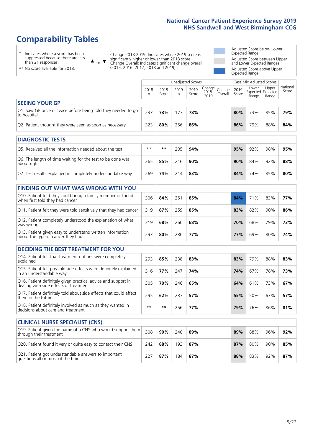# **Comparability Tables**

\* Indicates where a score has been suppressed because there are less than 21 responses.

\*\* No score available for 2018.

 $\triangle$  or  $\nabla$ 

Change 2018-2019: Indicates where 2019 score is significantly higher or lower than 2018 score Change Overall: Indicates significant change overall (2015, 2016, 2017, 2018 and 2019).

Adjusted Score below Lower Expected Range Adjusted Score between Upper and Lower Expected Ranges Adjusted Score above Upper Expected Range

|                                                                             | Unadjusted Scores<br>Case Mix Adjusted Scores |               |           |               |                                                  |         |               |                |                                     |                   |
|-----------------------------------------------------------------------------|-----------------------------------------------|---------------|-----------|---------------|--------------------------------------------------|---------|---------------|----------------|-------------------------------------|-------------------|
|                                                                             | 2018<br>n                                     | 2018<br>Score | 2019<br>n | 2019<br>Score | $\sqrt{(\text{Change})}$ Change<br>2018-<br>2019 | Overall | 2019<br>Score | Lower<br>Range | Upper<br>Expected Expected<br>Range | National<br>Score |
| <b>SEEING YOUR GP</b>                                                       |                                               |               |           |               |                                                  |         |               |                |                                     |                   |
| Q1. Saw GP once or twice before being told they needed to go<br>to hospital | 233                                           | 73%           | 177       | 78%           |                                                  |         | 80%           | 73%            | 85%                                 | 79%               |
| Q2. Patient thought they were seen as soon as necessary                     | 323                                           | 80%           | 256       | 86%           |                                                  |         | 86%           | 79%            | 88%                                 | 84%               |
| DIAGNOSTIC TESTS                                                            |                                               |               |           |               |                                                  |         |               |                |                                     |                   |

| <b>UMUNUSIN TESTS</b>                                                     |      |     |     |     |  |  |     |     |     |     |  |  |
|---------------------------------------------------------------------------|------|-----|-----|-----|--|--|-----|-----|-----|-----|--|--|
| Q5. Received all the information needed about the test                    | $**$ | **  | 205 | 94% |  |  | 95% | 92% | 98% | 95% |  |  |
| Q6. The length of time waiting for the test to be done was<br>about right | 265  | 85% | 216 | 90% |  |  | 90% | 84% | 92% | 88% |  |  |
| Q7. Test results explained in completely understandable way               | 269  | 74% | 214 | 83% |  |  | 84% | 74% | 85% | 80% |  |  |

| <b>FINDING OUT WHAT WAS WRONG WITH YOU</b>                                                      |     |     |     |     |     |     |     |     |
|-------------------------------------------------------------------------------------------------|-----|-----|-----|-----|-----|-----|-----|-----|
| Q10. Patient told they could bring a family member or friend<br>when first told they had cancer | 306 | 84% | 251 | 85% | 84% | 71% | 83% | 77% |
| Q11. Patient felt they were told sensitively that they had cancer                               | 319 | 87% | 259 | 85% | 83% | 82% | 90% | 86% |
| Q12. Patient completely understood the explanation of what<br>was wrong                         | 319 | 68% | 260 | 68% | 70% | 68% | 79% | 73% |
| Q13. Patient given easy to understand written information<br>about the type of cancer they had  | 293 | 80% | 230 | 77% | 77% | 69% | 80% | 74% |

| <b>DECIDING THE BEST TREATMENT FOR YOU</b>                                                              |      |     |     |     |  |     |     |     |     |
|---------------------------------------------------------------------------------------------------------|------|-----|-----|-----|--|-----|-----|-----|-----|
| Q14. Patient felt that treatment options were completely<br>explained                                   | 293  | 85% | 238 | 83% |  | 83% | 79% | 88% | 83% |
| Q15. Patient felt possible side effects were definitely explained<br>in an understandable way           | 316  | 77% | 247 | 74% |  | 74% | 67% | 78% | 73% |
| Q16. Patient definitely given practical advice and support in<br>dealing with side effects of treatment | 305  | 70% | 246 | 65% |  | 64% | 61% | 73% | 67% |
| Q17. Patient definitely told about side effects that could affect<br>them in the future                 | 295  | 62% | 237 | 57% |  | 55% | 50% | 63% | 57% |
| Q18. Patient definitely involved as much as they wanted in<br>decisions about care and treatment        | $**$ | **  | 256 | 77% |  | 79% | 76% | 86% | 81% |

| <b>CLINICAL NURSE SPECIALIST (CNS)</b>                                                    |          |     |     |     |  |     |     |     |     |
|-------------------------------------------------------------------------------------------|----------|-----|-----|-----|--|-----|-----|-----|-----|
| Q19. Patient given the name of a CNS who would support them<br>through their treatment    | 308      | 90% | 240 | 89% |  | 89% | 88% | 96% | 92% |
| Q20. Patient found it very or quite easy to contact their CNS                             | 242      | 88% | 193 | 87% |  | 87% | 80% | 90% | 85% |
| Q21. Patient got understandable answers to important<br>questions all or most of the time | $22^{-}$ | 87% | 184 | 87% |  | 88% | 83% | 92% | 87% |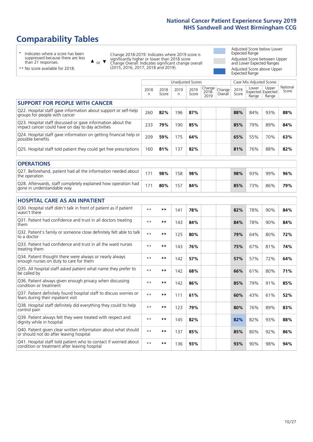# **Comparability Tables**

\* Indicates where a score has been suppressed because there are less than 21 responses.

\*\* No score available for 2018.

 $\triangle$  or  $\nabla$ 

Change 2018-2019: Indicates where 2019 score is significantly higher or lower than 2018 score Change Overall: Indicates significant change overall (2015, 2016, 2017, 2018 and 2019).

Adjusted Score below Lower Expected Range Adjusted Score between Upper and Lower Expected Ranges Adjusted Score above Upper Expected Range

|                                                                                                                   |              |               | <b>Unadjusted Scores</b> |               |                         |                   |               | Case Mix Adjusted Scores            |                |                   |
|-------------------------------------------------------------------------------------------------------------------|--------------|---------------|--------------------------|---------------|-------------------------|-------------------|---------------|-------------------------------------|----------------|-------------------|
|                                                                                                                   | 2018<br>n    | 2018<br>Score | 2019<br>n                | 2019<br>Score | Change<br>2018-<br>2019 | Change<br>Overall | 2019<br>Score | Lower<br>Expected Expected<br>Range | Upper<br>Range | National<br>Score |
| <b>SUPPORT FOR PEOPLE WITH CANCER</b>                                                                             |              |               |                          |               |                         |                   |               |                                     |                |                   |
| Q22. Hospital staff gave information about support or self-help<br>groups for people with cancer                  | 260          | 82%           | 196                      | 87%           |                         |                   | 88%           | 84%                                 | 93%            | 88%               |
| Q23. Hospital staff discussed or gave information about the<br>impact cancer could have on day to day activities  | 233          | 79%           | 190                      | 85%           |                         |                   | 85%           | 79%                                 | 89%            | 84%               |
| Q24. Hospital staff gave information on getting financial help or<br>possible benefits                            | 209          | 59%           | 175                      | 64%           |                         |                   | 65%           | 55%                                 | 70%            | 63%               |
| Q25. Hospital staff told patient they could get free prescriptions                                                | 160          | 81%           | 137                      | 82%           |                         |                   | 81%           | 76%                                 | 88%            | 82%               |
| <b>OPERATIONS</b>                                                                                                 |              |               |                          |               |                         |                   |               |                                     |                |                   |
| Q27. Beforehand, patient had all the information needed about<br>the operation                                    | 171          | 98%           | 158                      | 98%           |                         |                   | 98%           | 93%                                 | 99%            | 96%               |
| Q28. Afterwards, staff completely explained how operation had<br>gone in understandable way                       | 171          | 80%           | 157                      | 84%           |                         |                   | 85%           | 73%                                 | 86%            | 79%               |
| <b>HOSPITAL CARE AS AN INPATIENT</b>                                                                              |              |               |                          |               |                         |                   |               |                                     |                |                   |
| Q30. Hospital staff didn't talk in front of patient as if patient<br>wasn't there                                 | $\star\star$ | **            | 141                      | 78%           |                         |                   | 82%           | 78%                                 | 90%            | 84%               |
| Q31. Patient had confidence and trust in all doctors treating<br>them                                             | $* *$        | $***$         | 143                      | 84%           |                         |                   | 84%           | 78%                                 | 90%            | 84%               |
| Q32. Patient's family or someone close definitely felt able to talk<br>to a doctor                                | $* *$        | $***$         | 125                      | 80%           |                         |                   | 79%           | 64%                                 | 80%            | 72%               |
| Q33. Patient had confidence and trust in all the ward nurses<br>treating them                                     | $* *$        | **            | 143                      | 76%           |                         |                   | 75%           | 67%                                 | 81%            | 74%               |
| Q34. Patient thought there were always or nearly always<br>enough nurses on duty to care for them                 | $\star\star$ | $***$         | 142                      | 57%           |                         |                   | 57%           | 57%                                 | 72%            | 64%               |
| Q35. All hospital staff asked patient what name they prefer to<br>be called by                                    | $* *$        | $***$         | 142                      | 68%           |                         |                   | 66%           | 61%                                 | 80%            | 71%               |
| Q36. Patient always given enough privacy when discussing<br>condition or treatment                                | $* *$        | $***$         | 142                      | 86%           |                         |                   | 85%           | 79%                                 | 91%            | 85%               |
| Q37. Patient definitely found hospital staff to discuss worries or<br>fears during their inpatient visit          | $* *$        | **            | 111                      | 61%           |                         |                   | 60%           | 43%                                 | 61%            | 52%               |
| Q38. Hospital staff definitely did everything they could to help<br>control pain                                  | $* *$        | $**$          | 123                      | 79%           |                         |                   | 80%           | 76%                                 | 89%            | 83%               |
| Q39. Patient always felt they were treated with respect and<br>dignity while in hospital                          | $* *$        | **            | 145                      | 82%           |                         |                   | 82%           | 82%                                 | 93%            | 88%               |
| Q40. Patient given clear written information about what should<br>or should not do after leaving hospital         | $\star\star$ | $***$         | 137                      | 85%           |                         |                   | 85%           | 80%                                 | 92%            | 86%               |
| Q41. Hospital staff told patient who to contact if worried about<br>condition or treatment after leaving hospital | $**$         | **            | 136                      | 93%           |                         |                   | 93%           | 90%                                 | 98%            | 94%               |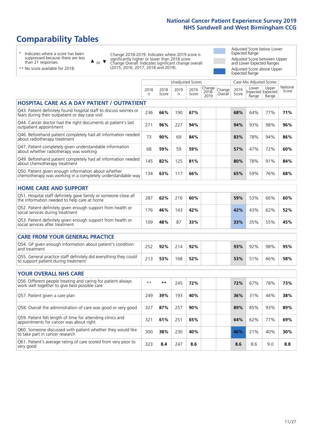# **Comparability Tables**

\* Indicates where a score has been suppressed because there are less than 21 responses.

\*\* No score available for 2018.

 $\triangle$  or  $\nabla$ 

Change 2018-2019: Indicates where 2019 score is significantly higher or lower than 2018 score Change Overall: Indicates significant change overall (2015, 2016, 2017, 2018 and 2019).

Adjusted Score below Lower Expected Range Adjusted Score between Upper and Lower Expected Ranges Adjusted Score above Upper Expected Range

|                                                                                                                       |                      |               | <b>Unadjusted Scores</b> |               |                         |                   | Case Mix Adjusted Scores |                                     |                |                   |
|-----------------------------------------------------------------------------------------------------------------------|----------------------|---------------|--------------------------|---------------|-------------------------|-------------------|--------------------------|-------------------------------------|----------------|-------------------|
|                                                                                                                       | 2018<br>$\mathsf{n}$ | 2018<br>Score | 2019<br>n                | 2019<br>Score | Change<br>2018-<br>2019 | Change<br>Overall | 2019<br>Score            | Lower<br>Expected Expected<br>Range | Upper<br>Range | National<br>Score |
| <b>HOSPITAL CARE AS A DAY PATIENT / OUTPATIENT</b>                                                                    |                      |               |                          |               |                         |                   |                          |                                     |                |                   |
| Q43. Patient definitely found hospital staff to discuss worries or<br>fears during their outpatient or day case visit | 236                  | 66%           | 190                      | 67%           |                         |                   | 68%                      | 64%                                 | 77%            | 71%               |
| Q44. Cancer doctor had the right documents at patient's last<br>outpatient appointment                                | 271                  | 96%           | 227                      | 94%           |                         |                   | 94%                      | 93%                                 | 98%            | 96%               |
| Q46. Beforehand patient completely had all information needed<br>about radiotherapy treatment                         | 73                   | 90%           | 69                       | 84%           |                         |                   | 83%                      | 78%                                 | 94%            | 86%               |
| Q47. Patient completely given understandable information<br>about whether radiotherapy was working                    | 68                   | 59%           | 59                       | 59%           |                         |                   | 57%                      | 47%                                 | 72%            | 60%               |
| Q49. Beforehand patient completely had all information needed<br>about chemotherapy treatment                         | 145                  | 82%           | 125                      | 81%           |                         |                   | 80%                      | 78%                                 | 91%            | 84%               |
| Q50. Patient given enough information about whether<br>chemotherapy was working in a completely understandable way    | 134                  | 63%           | 117                      | 66%           |                         |                   | 65%                      | 59%                                 | 76%            | 68%               |
| <b>HOME CARE AND SUPPORT</b>                                                                                          |                      |               |                          |               |                         |                   |                          |                                     |                |                   |
| Q51. Hospital staff definitely gave family or someone close all<br>the information needed to help care at home        | 287                  | 62%           | 216                      | 60%           |                         |                   | 59%                      | 53%                                 | 66%            | 60%               |
| Q52. Patient definitely given enough support from health or<br>social services during treatment                       | 176                  | 46%           | 143                      | 42%           |                         |                   | 42%                      | 43%                                 | 62%            | 52%               |
| Q53. Patient definitely given enough support from health or<br>social services after treatment                        | 109                  | 48%           | 87                       | 33%           |                         |                   | 33%                      | 35%                                 | 55%            | 45%               |
| <b>CARE FROM YOUR GENERAL PRACTICE</b>                                                                                |                      |               |                          |               |                         |                   |                          |                                     |                |                   |
| Q54. GP given enough information about patient's condition<br>and treatment                                           | 252                  | 92%           | 214                      | 92%           |                         |                   | 93%                      | 92%                                 | 98%            | 95%               |
| Q55. General practice staff definitely did everything they could<br>to support patient during treatment               | 213                  | 53%           | 168                      | 52%           |                         |                   | 53%                      | 51%                                 | 66%            | 58%               |
| <b>YOUR OVERALL NHS CARE</b>                                                                                          |                      |               |                          |               |                         |                   |                          |                                     |                |                   |
| Q56. Different people treating and caring for patient always<br>work well together to give best possible care         | $* *$                | $***$         | 245                      | 72%           |                         |                   | 72%                      | 67%                                 | 78%            | 73%               |
| Q57. Patient given a care plan                                                                                        | 249                  | 39%           | 193                      | 40%           |                         |                   | 36%                      | 31%                                 | 44%            | 38%               |
| Q58. Overall the administration of care was good or very good                                                         | 327                  | 87%           | 257                      | 90%           |                         |                   | 89%                      | 85%                                 | 93%            | 89%               |
| Q59. Patient felt length of time for attending clinics and<br>appointments for cancer was about right                 | 321                  | 61%           | 251                      | 65%           |                         |                   | 64%                      | 62%                                 | 77%            | 69%               |
| Q60. Someone discussed with patient whether they would like<br>to take part in cancer research                        | 300                  | 38%           | 230                      | 40%           |                         |                   | 40%                      | 21%                                 | 40%            | 30%               |
| Q61. Patient's average rating of care scored from very poor to<br>very good                                           | 323                  | 8.4           | 247                      | 8.6           |                         |                   | 8.6                      | 8.6                                 | 9.0            | 8.8               |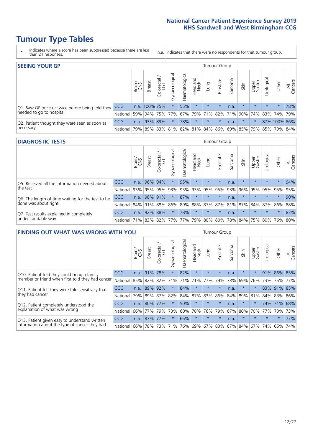# **Tumour Type Tables**

- \* Indicates where a score has been suppressed because there are less than 21 responses.
- n.a. Indicates that there were no respondents for that tumour group.

| <b>SEEING YOUR GP</b>                           |            |              |               |                   |                |                |                  |         | Tumour Group |         |                                         |                 |                                  |                                                     |                |
|-------------------------------------------------|------------|--------------|---------------|-------------------|----------------|----------------|------------------|---------|--------------|---------|-----------------------------------------|-----------------|----------------------------------|-----------------------------------------------------|----------------|
|                                                 |            | Brain<br>CNS | <b>Breast</b> | olorectal.<br>LGT | Gynaecological | Haematological | Head and<br>Neck | Lung    | Prostate     | Sarcoma | Skin                                    | Upper<br>Gastro | $\overline{\sigma}$<br>Jrologica | Other                                               | All<br>Cancers |
| Q1. Saw GP once or twice before being told they | <b>CCG</b> |              | n.a. 100% 75% |                   |                | 55%            | $\star$          | $\star$ | $\star$      | n.a.    | $\star$                                 | $\star$         | $\star$                          | $\star$                                             | 78%            |
| needed to go to hospital                        | National   | 59%          |               |                   |                |                |                  |         |              |         |                                         |                 |                                  | 94% 75% 77% 67% 79% 71% 82% 71% 90% 74% 83% 74% 79% |                |
| Q2. Patient thought they were seen as soon as   | <b>CCG</b> | n.a.         | 93% 89%       |                   | $\star$        | 78%            | $\star$          | $\star$ | $\star$      | n.a.    | $\star$                                 | $\star$         |                                  | 87% 100% 86%                                        |                |
| necessary                                       | National I | 79%          |               |                   |                |                |                  |         |              |         | 89% 83% 81% 82% 81% 84% 86% 69% 85% 79% |                 |                                  | 85% 79% 84%                                         |                |

### **DIAGNOSTIC TESTS** Tumour Group

|                                                   |                                                                  | Brain | <b>Breast</b> | olorectal.<br>LGT<br>Ü | Gynaecological | Haematological | Head and<br>Neck | Lung    | Prostate | Sarcoma | Skin    | Upper<br>Gastro | Irological                                  | Other   | All<br>Cancers |
|---------------------------------------------------|------------------------------------------------------------------|-------|---------------|------------------------|----------------|----------------|------------------|---------|----------|---------|---------|-----------------|---------------------------------------------|---------|----------------|
| Q5. Received all the information needed about     | <b>CCG</b>                                                       | n.a.  |               | 96% 94%                |                | 95%            | $\star$          | $\star$ | $\star$  | n.a.    | $\star$ | $\star$         | $\star$                                     | $\star$ | 94%            |
| the test                                          | National                                                         | 93%   | 95%           | 95%                    | 93%            | 95%            |                  | 93% 95% | 95%      | 93%     | 96%     | 95%             | 95%                                         | 95%     | 95%            |
| Q6. The length of time waiting for the test to be | <b>CCG</b>                                                       | n.a.  |               | 98% 91%                | $\star$        | 87%            | $\star$          | $\star$ | $\star$  | n.a.    |         | $\star$         | $\star$                                     | $\star$ | 90%            |
| done was about right                              | National 84% 91%                                                 |       |               | 88%                    |                |                |                  |         |          |         |         |                 | 86% 89% 88% 87% 87% 81% 87% 84% 87% 86% 88% |         |                |
| Q7. Test results explained in completely          | <b>CCG</b>                                                       | n.a.  | 92%           | 88%                    |                | 78%            | $\star$          | $\star$ | $\star$  | n.a.    | $\star$ | $\star$         | $\star$                                     | $\star$ | 83%            |
| understandable way                                | National 71% 83% 82% 77% 77% 79% 80% 80% 78% 84% 75% 80% 76% 80% |       |               |                        |                |                |                  |         |          |         |         |                 |                                             |         |                |

| <b>FINDING OUT WHAT WAS WRONG WITH YOU</b>        |            |       |               |                 |                |                |                        |             | Tumour Group |         |         |                 |           |             |                |
|---------------------------------------------------|------------|-------|---------------|-----------------|----------------|----------------|------------------------|-------------|--------------|---------|---------|-----------------|-----------|-------------|----------------|
|                                                   |            | Brain | <b>Breast</b> | ╮<br>Colorectal | Gynaecological | Haematological | ad and<br>Neck<br>Head | Lung        | Prostate     | Sarcoma | Skin    | Upper<br>Gastro | Jrologica | Other       | All<br>Cancers |
| Q10. Patient told they could bring a family       | <b>CCG</b> | n.a.  | 91%           | 78%             | $\star$        | 82%            | $\star$                | $\star$     | $\star$      | n.a.    | $\star$ | $\star$         |           | 91% 86%     | 85%            |
| member or friend when first told they had cancer  | National   | 85%   | 82%           | 82%             |                | 71% 71%        | 71%                    | 77%         | 79%          | 73%     | 69%     | 76%             |           | 73% 75% 77% |                |
| Q11. Patient felt they were told sensitively that | CCG        | n.a.  | 89%           | 92%             | $\star$        | 84%            | $\star$                | $\star$     | $\star$      | n.a.    | $\star$ | $\star$         |           | 83% 91%     | 85%            |
| they had cancer                                   | National   | 79%   | 89%           | 87%             | 82%            |                | 84% 87%                | 83%         | 86%          | 84%     | 89%     | 81%             |           | 84% 83% 86% |                |
| Q12. Patient completely understood the            | <b>CCG</b> | n.a.  | 80%           | 77%             | $\star$        | 50%            | $\star$                | $\star$     | $\star$      | n.a.    | $\star$ | $\star$         |           | 74% 71%     | 68%            |
| explanation of what was wrong                     | National   | 66%   | 77%           | 79%             | 73%            | 60%            | 78%                    | 76%         | 79%          | 67%     | 80%     | 70%             | 77%       | 70%         | 73%            |
| Q13. Patient given easy to understand written     | <b>CCG</b> | n.a.  |               | 87% 77%         | $\star$        | 66%            | $\ast$                 | $\star$     | $\star$      | n.a.    | $\star$ | $\star$         | $\star$   | $\ast$      | 77%            |
| information about the type of cancer they had     | National   | 66%   |               | 78% 73%         | 71%            | 76%            |                        | 69% 67% 83% |              |         | 67% 84% | 67%             | 74%       | 65%         | 74%            |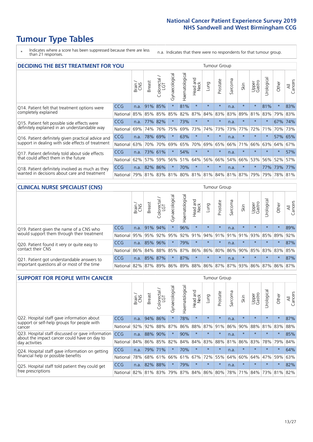# **Tumour Type Tables**

\* Indicates where a score has been suppressed because there are less than 21 responses.

n.a. Indicates that there were no respondents for that tumour group.

| <b>DECIDING THE BEST TREATMENT FOR YOU</b>         |          |       |               |                             |                |                |                         |         | <b>Tumour Group</b> |         |                                     |                 |            |         |                |
|----------------------------------------------------|----------|-------|---------------|-----------------------------|----------------|----------------|-------------------------|---------|---------------------|---------|-------------------------------------|-----------------|------------|---------|----------------|
|                                                    |          | Brain | <b>Breast</b> | olorectal.<br>LGT<br>$\cup$ | Gynaecological | Haematological | ead and<br>Neck<br>Head | Lung    | Prostate            | Sarcoma | Skin                                | Upper<br>Gastro | Jrological | Other   | All<br>Cancers |
| Q14. Patient felt that treatment options were      | CCG      | n.a.  | 91%           | 85%                         | $\star$        | 81%            | $\star$                 | $\star$ | $\star$             | n.a.    | $\star$                             | $\star$         | 81%        | $\star$ | 83%            |
| completely explained                               | National | 85%   | 85%           | 85%                         | 85%            | 82%            | 87%                     | 84%     | 83%                 | 83%     | 89%                                 | 81%             | 83%        | 79%     | 83%            |
| Q15. Patient felt possible side effects were       | CCG      | n.a.  | 77%           | 82%                         | $\star$        | 73%            | $\star$                 | $\star$ | $\star$             | n.a.    | $\star$                             | $\star$         |            | 67%     | 74%            |
| definitely explained in an understandable way      | National | 69%   | 74%           | 76%                         | 75%            | 69%            | 73%                     | 74%     | 73%                 | 73%     | 77%                                 | 72%             | 71%        | 70%     | 73%            |
| Q16. Patient definitely given practical advice and | CCG      | n.a.  | 78%           | 69%                         | $\star$        | 63%            | $\star$                 | $\star$ | $\star$             | n.a.    | $\star$                             | $\star$         |            | 57%     | 65%            |
| support in dealing with side effects of treatment  | National | 63%   | 70%           | 70%                         | 69%            | 65%            | 70%                     | 69%     | 65%                 | 66%     | 71%                                 | 66%             | 63%        | 64%     | 67%            |
| Q17. Patient definitely told about side effects    | CCG      | n.a.  | 73%           | 61%                         | $\star$        | 54%            | $\star$                 | $\star$ | $\star$             | n.a.    | $\star$                             | $\star$         | $\star$    | $\star$ | 57%            |
| that could affect them in the future               | National | 62%   | 57%           | 59%                         | 56%            | 51%            | 64%                     | 56%     | 66%                 | 54%     | 66%                                 | 53%             | 56%        | 52%     | 57%            |
| Q18. Patient definitely involved as much as they   | CCG      | n.a.  | 82%           | 86%                         | $\star$        | 70%            | $\star$                 | $\star$ | $\star$             | n.a.    | $\star$                             | $\star$         | 77%        | 73%     | 77%            |
| wanted in decisions about care and treatment       | National | 79%   |               |                             |                |                |                         |         |                     |         | 81% 83% 81% 80% 81% 81% 84% 81% 87% | 79%             | 79%        | 78% 81% |                |

#### **CLINICAL NURSE SPECIALIST (CNS)** Tumour Group

|                                             |            | Brain | <b>Breast</b> | Colorectal<br>LGT | ᢛ<br>Gynaecologic | Haematological | Head and<br>Neck | Lung    | Prostate | Sarcoma | Skin                        | Upper<br>Gastro | Urologica       | Other   | All<br>Cancers |
|---------------------------------------------|------------|-------|---------------|-------------------|-------------------|----------------|------------------|---------|----------|---------|-----------------------------|-----------------|-----------------|---------|----------------|
| Q19. Patient given the name of a CNS who    | <b>CCG</b> | n.a.  | 91% 94%       |                   |                   | 96%            | $\star$          | $\star$ | $\star$  | n.a.    | $\star$                     | $\star$         | $\star$         | $\star$ | 89%            |
| would support them through their treatment  | National   | 95%   | 95%           | 92%               | 95%               | 92%            | 91%              |         | 94% 91%  | 91%     | 91%                         | 93%             | 85%             | 89%     | 92%            |
| Q20. Patient found it very or quite easy to | <b>CCG</b> | n.a.  | 85%           | 96%               | $\star$           | 79%            | $\star$          | $\star$ | $\star$  | n.a.    |                             | $\star$         | $\star$         | $\star$ | 87%            |
| contact their CNS                           | National   | 86%   | 84%           | 88%               | 85%               | 87% 86% 86%    |                  |         | 80%      | 86%     | 90%                         | 85%             | 83% 83% 85%     |         |                |
| Q21. Patient got understandable answers to  | <b>CCG</b> | n.a.  |               | 85% 87%           | $\star$           | 87%            | $\star$          | $\star$ | $\star$  | n.a.    | $\star$                     | $\star$         | $\star$         | $\star$ | 87%            |
| important questions all or most of the time | National   | 82%   | 87%           | 89%               |                   |                |                  |         |          |         | 86% 89% 88% 86% 87% 87% 93% |                 | 86% 87% 86% 87% |         |                |

| <b>SUPPORT FOR PEOPLE WITH CANCER</b>                                                             |            |       |               |                        |                |                |                        |         | Tumour Group |         |         |                 |           |         |                |
|---------------------------------------------------------------------------------------------------|------------|-------|---------------|------------------------|----------------|----------------|------------------------|---------|--------------|---------|---------|-----------------|-----------|---------|----------------|
|                                                                                                   |            | Brain | <b>Breast</b> | olorectal.<br>LGT<br>Ũ | Gynaecological | Haematological | ad and<br>Neck<br>Head | Lung    | Prostate     | Sarcoma | Skin    | Upper<br>Gastro | Jrologica | Other   | All<br>Cancers |
| Q22. Hospital staff gave information about<br>support or self-help groups for people with         | <b>CCG</b> | n.a.  | 94%           | 86%                    | $\star$        | 78%            | $\star$                | $\star$ | $\star$      | n.a.    | $\star$ | $\star$         | $\star$   | $\star$ | 87%            |
| cancer                                                                                            | National   | 92%   | 92%           | 88%                    | 87%            | 86%            | 88%                    | 87%     | 91%          | 86%     | 90%     | 88%             | 81%       | 83%     | 88%            |
| Q23. Hospital staff discussed or gave information<br>about the impact cancer could have on day to | CCG        | n.a.  | 88%           | 90%                    | $\star$        | 90%            | $\star$                | $\star$ | $\star$      | n.a.    | $\star$ | $\star$         | $\star$   | $\star$ | 85%            |
| day activities                                                                                    | National   | 84%   | 86%           | 85%                    | 82%            | 84%            | 84%                    | 83%     | 88%          | 81%     | 86%     | 83%             | 78%       | 79%     | 84%            |
| Q24. Hospital staff gave information on getting                                                   | CCG        | n.a.  |               | 79% 71%                | $\star$        | 70%            | $\ast$                 | $\star$ | $\star$      | n.a.    | $\star$ | $\star$         | $\star$   | $\star$ | 64%            |
| financial help or possible benefits                                                               | National   | 78%   |               | 68% 61%                | 66%            |                | 61% 67%                | 72%     | 55%          | 64%     | 60%     | 64%             | 47%       | 59%     | 63%            |
| Q25. Hospital staff told patient they could get                                                   | CCG        | n.a.  | 82%           | 88%                    | $\star$        | 79%            | $\star$                | $\star$ | $\star$      | n.a.    | $\star$ | $\star$         | $\star$   | $\ast$  | 82%            |
| free prescriptions                                                                                | National I | 82%   |               | 81% 83%                | 79%            |                | 87% 84% 86% 80%        |         |              | 78%     | 71%     | 84%             | 73%       | 81%     | 82%            |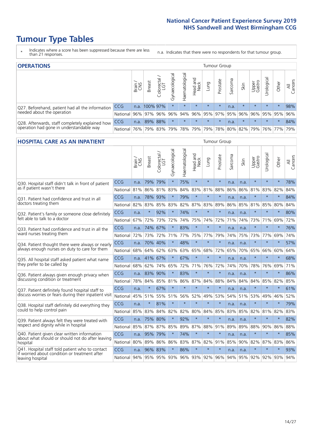# **Tumour Type Tables**

- \* Indicates where a score has been suppressed because there are less than 21 responses.
- n.a. Indicates that there were no respondents for that tumour group.

| <b>OPERATIONS</b>                                |            |       |               |                   |                   |                |                  |             | Tumour Group |         |                                         |                 |           |         |                |
|--------------------------------------------------|------------|-------|---------------|-------------------|-------------------|----------------|------------------|-------------|--------------|---------|-----------------------------------------|-----------------|-----------|---------|----------------|
|                                                  |            | Brain | <b>Breast</b> | Colorectal<br>LGT | ਨ<br>Gynaecologic | Haematological | Head and<br>Neck | <b>Dung</b> | Prostate     | Sarcoma | Skin                                    | Upper<br>Gastro | Urologica | Other   | All<br>Cancers |
| Q27. Beforehand, patient had all the information | <b>CCG</b> |       | n.a. 100% 97% |                   | $\star$           | $\star$        | $\star$          | $\star$     | $\star$      | n.a.    | $\star$                                 | $\star$         | $\star$   |         | 98%            |
| needed about the operation                       | National l |       | 96% 97% 96%   |                   |                   |                |                  |             |              |         | 96% 94% 96% 95% 97% 95% 96% 96% 95% 95% |                 |           |         | 96%            |
| Q28. Afterwards, staff completely explained how  | <b>CCG</b> | n.a.  | 89% 88%       |                   | $\star$           | $\star$        | $\star$          | $\star$     | $\star$      | n.a.    | $\star$                                 | $\star$         | $\star$   | $\star$ | 84%            |
| operation had gone in understandable way         | National   | 76%   |               | 79% 83%           |                   |                |                  |             |              |         | 79% 78% 79% 79% 78% 80% 82% 79% 76% 77% |                 |           |         | 79%            |

#### **HOSPITAL CARE AS AN INPATIENT** Tumour Group

|                                                                                                   |            | Brain | <b>Breast</b> | $\frac{\text{Colored}}{\text{LGT}}$ | Gynaecological | Haematological                  | Head and<br>Neck | Lung    | Prostate | Sarcoma | Skin | Upper<br>Gastro | Urological          | Other   | Cancers<br>$\overline{\overline{z}}$ |
|---------------------------------------------------------------------------------------------------|------------|-------|---------------|-------------------------------------|----------------|---------------------------------|------------------|---------|----------|---------|------|-----------------|---------------------|---------|--------------------------------------|
| Q30. Hospital staff didn't talk in front of patient                                               | CCG        | n.a.  | 79%           | 79%                                 | $\star$        | 75%                             | $\star$          | $\star$ | $\star$  | n.a.    | n.a. | $\star$         | $\star$             | $\star$ | 78%                                  |
| as if patient wasn't there                                                                        | National   | 81%   | 86%           | 81%                                 | 83%            | 84%                             | 83%              | 81%     | 88%      | 86%     | 86%  | 81%             | 83%                 | 82%     | 84%                                  |
| 031. Patient had confidence and trust in all                                                      | CCG        | n.a.  | 78%           | 93%                                 | $\star$        | 79%                             | $\star$          | $\star$ | $\star$  | n.a.    | n.a. | $\star$         | $\star$             | $\star$ | 84%                                  |
| doctors treating them                                                                             | National   | 82%   | 83%           | 85%                                 | 83%            | 82%                             |                  | 87% 83% | 89%      | 86%     | 85%  | 81%             | 85%                 | 80%     | 84%                                  |
| Q32. Patient's family or someone close definitely                                                 | CCG        | n.a.  | $\star$       | 92%                                 | $\star$        | 74%                             | $\star$          | $\star$ | $\star$  | n.a.    | n.a. |                 | $\star$             | $\star$ | 80%                                  |
| felt able to talk to a doctor                                                                     | National   | 67%   | 72%           | 73%                                 | 72%            | 74%                             | 75%              | 74%     | 72%      | 71%     | 74%  | 73%             | 71%                 | 69%     | 72%                                  |
| Q33. Patient had confidence and trust in all the<br>ward nurses treating them                     | <b>CCG</b> | n.a.  | 74%           | 67%                                 |                | 83%                             | $\star$          | $\star$ | $\star$  | n.a.    | n.a. | $\star$         | $\star$             | $\star$ | 76%                                  |
|                                                                                                   | National   | 72%   | 73%           | 72%                                 | 71%            | 77%                             |                  | 75% 77% | 79%      | 74%     | 75%  |                 | 73% 77%             | 69%     | 74%                                  |
| Q34. Patient thought there were always or nearly<br>always enough nurses on duty to care for them | CCG        | n.a.  | 70%           | 40%                                 | $\star$        | 48%                             | $\star$          | $\star$ | $\star$  | n.a.    | n.a. |                 | $\star$             | $\star$ | 57%                                  |
|                                                                                                   | National   | 68%   | 64%           | 62%                                 | 63%            |                                 | 63% 65% 68%      |         | 72%      | 65%     | 70%  | 65%             | 66%                 | 60%     | 64%                                  |
| Q35. All hospital staff asked patient what name<br>they prefer to be called by                    | CCG        | n.a.  | 41%           | 67%                                 | $\star$        | 67%                             | $\star$          | $\star$ | $\star$  | n.a.    | n.a. |                 | $\star$             | $\star$ | 68%                                  |
|                                                                                                   | National   | 68%   | 62%           | 74%                                 | 65%            | 72%                             | 71%              | 76%     | 72%      | 74%     | 70%  | 78%             | 76%                 | 69%     | 71%                                  |
| Q36. Patient always given enough privacy when                                                     | CCG        | n.a.  | 83%           | 90%                                 |                | 83%                             | $\star$          | $\star$ | $\star$  | n.a.    | n.a. | $\star$         | $\star$             | $\star$ | 86%                                  |
| discussing condition or treatment                                                                 | National   | 78%   | 84%           | 85%                                 | 81%            |                                 | 86% 87% 84%      |         | 88%      | 84%     | 84%  | 84%             | 85%                 | 82%     | 85%                                  |
| Q37. Patient definitely found hospital staff to                                                   | <b>CCG</b> | n.a.  | $\star$       | 67%                                 | $\star$        | $\star$                         | $\star$          | $\star$ | $\star$  | n.a.    | n.a. |                 | $\star$             | $\star$ | 61%                                  |
| discuss worries or fears during their inpatient visit                                             | National   | 45%   | 51%           | 55%                                 | 51%            | 56%                             | 52%              | 49%     | 53%      | 54%     | 51%  | 53%             | 49%                 | 46%     | 52%                                  |
| Q38. Hospital staff definitely did everything they                                                | CCG        | n.a.  | $\star$       | 81%                                 | $\star$        | $\star$                         | $\star$          | $\star$ | $\star$  | n.a.    | n.a. | $\star$         | $\star$             | $\star$ | 79%                                  |
| could to help control pain                                                                        | National   | 85%   | 83%           | 84%                                 | 82%            | 82%                             |                  | 80% 84% | 85%      | 83%     | 85%  | 82%             | 81%                 | 82%     | 83%                                  |
| Q39. Patient always felt they were treated with                                                   | CCG        | n.a.  | 75%           | 80%                                 | $\star$        | 92%                             | $\star$          | $\star$ | $\star$  | n.a.    | n.a. |                 | $\star$             | $\star$ | 82%                                  |
| respect and dignity while in hospital                                                             | National   | 85%   | 87%           | 87%                                 | 85%            | 89%                             | 87%              | 88%     | 91%      | 89%     | 89%  | 88%             | 90%                 | 86%     | 88%                                  |
| Q40. Patient given clear written information<br>about what should or should not do after leaving  | <b>CCG</b> | n.a.  | 95%           | 79%                                 |                | 74%                             | $\star$          | $\star$ | $\star$  | n.a.    | n.a. |                 | $\star$             | $\star$ | 85%                                  |
| hospital                                                                                          | National   | 80%   | 89%           | 86%                                 | 86%            | 83%                             |                  | 87% 82% | 91%      | 85%     | 90%  | 82%             | 87%                 | 83%     | 86%                                  |
| Q41. Hospital staff told patient who to contact<br>if worried about condition or treatment after  | CCG        | n.a.  | 96% 83%       |                                     | $\star$        | 86%                             | $\star$          | $\star$ | $\star$  | n.a.    | n.a. | $\star$         | $\star$             | $\star$ | 93%                                  |
| leaving hospital                                                                                  | National   |       |               |                                     |                | 94% 95% 95% 93% 96% 93% 92% 96% |                  |         |          | 94%     |      |                 | 95% 92% 92% 93% 94% |         |                                      |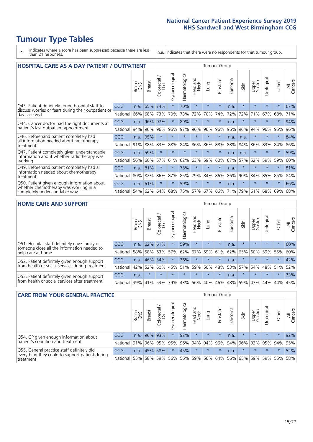# **Tumour Type Tables**

- \* Indicates where a score has been suppressed because there are less than 21 responses.
- n.a. Indicates that there were no respondents for that tumour group.

| <b>HOSPITAL CARE AS A DAY PATIENT / OUTPATIENT</b>                                                                       |            |       |               |                                   |                |                |                         | <b>Tumour Group</b> |          |         |         |                 |            |         |                |  |
|--------------------------------------------------------------------------------------------------------------------------|------------|-------|---------------|-----------------------------------|----------------|----------------|-------------------------|---------------------|----------|---------|---------|-----------------|------------|---------|----------------|--|
|                                                                                                                          |            | Brain | <b>Breast</b> | ╮<br>olorectal /<br>LGT<br>$\cup$ | Gynaecological | Haematological | ead and<br>Neck<br>Head | Lung                | Prostate | Sarcoma | Skin    | Upper<br>Gastro | Urological | Other   | All<br>Cancers |  |
| Q43. Patient definitely found hospital staff to<br>discuss worries or fears during their outpatient or<br>day case visit | CCG        | n.a.  | 65%           | 74%                               | $\star$        | 70%            | $\star$                 | $\star$             | $\star$  | n.a.    | $\star$ | $\star$         | $\star$    | $\star$ | 67%            |  |
|                                                                                                                          | National   | 66%   | 68%           | 73%                               | 70%            | 73%            | 72%                     | 70%                 | 74%      | 72%     | 72%     | 71%             | 67%        | 68%     | 71%            |  |
| Q44. Cancer doctor had the right documents at<br>patient's last outpatient appointment                                   | <b>CCG</b> | n.a.  | 96%           | 97%                               | $\star$        | 89%            | $\star$                 | $\star$             | $\star$  | n.a.    |         |                 | $\star$    | $\ast$  | 94%            |  |
|                                                                                                                          | National   | 94%   | 96%           | 96%                               | 96%            | 97%            | 96%                     | 96%                 | 96%      | 96%     | 96%     | 94%             | 96%        | 95%     | 96%            |  |
| Q46. Beforehand patient completely had                                                                                   | <b>CCG</b> | n.a.  | 95%           | $\star$                           |                |                | $\star$                 | $\star$             | $\star$  | n.a.    | n.a.    | $\star$         | $\star$    | $\star$ | 84%            |  |
| all information needed about radiotherapy<br>treatment                                                                   | National   | 91%   | 88%           | 83%                               | 88%            | 84%            | 86%                     | 86%                 | 88%      | 88%     | 84%     | 86%             | 83%        | 84%     | 86%            |  |
| Q47. Patient completely given understandable                                                                             | <b>CCG</b> | n.a.  | 59%           | $\star$                           |                |                | $\star$                 | $\star$             | $\star$  | n.a.    | n.a.    | $\star$         | $\star$    | $\star$ | 59%            |  |
| information about whether radiotherapy was<br>working                                                                    | National   | 56%   | 60%           | 57%                               | 61%            | 62%            | 63%                     | 59%                 | 60%      | 67%     | 57%     | 52%             | 59%        | 59%     | 60%            |  |
| Q49. Beforehand patient completely had all                                                                               | <b>CCG</b> | n.a.  | 81%           | $\star$                           | $\star$        | 75%            | $\star$                 | $\star$             | $\star$  | n.a.    | $\star$ | $\star$         | $\star$    | $\ast$  | 81%            |  |
| information needed about chemotherapy<br>treatment                                                                       | National   | 80%   | 82%           | 86%                               | 87%            | 85%            | 79%                     | 84%                 | 86%      | 86%     | 90%     | 84%             | 85%        | 85%     | 84%            |  |
| Q50. Patient given enough information about<br>whether chemotherapy was working in a<br>completely understandable way    | <b>CCG</b> | n.a.  | 61%           | $\star$                           | $\star$        | 59%            | $\star$                 | $\star$             | $\star$  | n.a.    | $\star$ |                 |            | $\star$ | 66%            |  |
|                                                                                                                          | National   | 54%   | 62%           | 64%                               | 68%            | 75%            |                         | 57% 67%             | 66%      | 71%     | 79%     | 61%             | 68%        | 69%     | 68%            |  |

### **HOME CARE AND SUPPORT** Tumour Group

|                                                                                                                   |            | Brain | <b>Breast</b> | Colorectal<br>LGT | ᠊ᢛ<br>Gynaecologic | Haematological | ad and<br>Neck<br>Head | <b>Dung</b> | Prostate | Sarcoma | Skin    | Upper<br>Gastro | Urological | Other   | All<br>Cancers |
|-------------------------------------------------------------------------------------------------------------------|------------|-------|---------------|-------------------|--------------------|----------------|------------------------|-------------|----------|---------|---------|-----------------|------------|---------|----------------|
| Q51. Hospital staff definitely gave family or<br>someone close all the information needed to<br>help care at home | <b>CCG</b> | n.a.  |               | 62% 61%           | $\star$            | 59%            | $\star$                | $\star$     | $\star$  | n.a.    | $\star$ | $\star$         | $\star$    | $\star$ | 60%            |
|                                                                                                                   | National   | 58%   | 58%           | 63%               | 57%                | 62%            | 67%                    | 59%         | 61%      |         | 62% 65% | 60%             | 59%        | 55%     | 60%            |
| Q52. Patient definitely given enough support<br>from health or social services during treatment                   | <b>CCG</b> | n.a.  |               | 46% 54%           | $\star$            | 36%            | $\star$                | $\star$     | $\star$  | n.a.    | $\star$ | $\star$         | $\star$    | $\star$ | 42%            |
|                                                                                                                   | National   | 42%   | 52%           | 60%               |                    | 45% 51%        | 59%                    | 50%         | 48%      |         | 53% 57% | 54%             | 48% 51%    |         | 52%            |
| Q53. Patient definitely given enough support<br>from health or social services after treatment                    | <b>CCG</b> | n.a.  | $\star$       | $\star$           | $\star$            | $\star$        | $\star$                | $\star$     | $\star$  | n.a.    |         | $\star$         | $\star$    | $\star$ | 33%            |
|                                                                                                                   | National   | 39%   |               | 41% 53%           | 39%                | 43%            | 56%                    | 40%         | 46%      |         | 48% 59% | 47%             | 44%        | 44%     | 45%            |

| <b>CARE FROM YOUR GENERAL PRACTICE</b>                                                                     |              |        |               |                        |               | Tumour Group                        |                  |         |                                     |         |         |                 |                |         |                |
|------------------------------------------------------------------------------------------------------------|--------------|--------|---------------|------------------------|---------------|-------------------------------------|------------------|---------|-------------------------------------|---------|---------|-----------------|----------------|---------|----------------|
|                                                                                                            |              | Brain, | <b>Breast</b> | ー<br>Colorectal<br>LGT | Gynaecologica | $\overline{\sigma}$<br>Haematologic | Head and<br>Neck | Lung    | Prostate                            | Sarcoma | Skin    | Upper<br>Gastro | Φ<br>Urologica | Other   | All<br>Cancers |
| Q54. GP given enough information about<br>patient's condition and treatment                                | CCG          | n.a.   |               | 96% 93%                |               | 92%                                 | $\star$          | $\star$ | $\star$                             | n.a.    | $\star$ | $\star$         | $\star$        | $\star$ | 92%            |
|                                                                                                            | National 91% |        |               | 96% 95%                | 95%           |                                     |                  |         | 96% 94% 94% 96%                     |         | 94% 96% | 93% 95% 94%     |                |         | 95%            |
| Q55. General practice staff definitely did<br>everything they could to support patient during<br>treatment | CCG          | n.a.   | 45%           | 58%                    | $\star$       | 45%                                 | $\star$          | $\star$ | $\star$                             | n.a.    | $\star$ | $\star$         | $\star$        | $\star$ | 52%            |
|                                                                                                            | National 55% |        |               | 58% 59%                | 56%           |                                     |                  |         | 56% 59% 56% 64% 56% 65% 59% 59% 55% |         |         |                 |                |         | 58%            |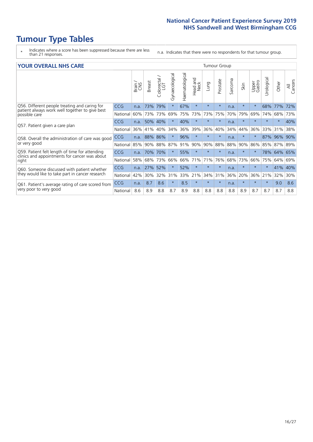# **Tumour Type Tables**

- \* Indicates where a score has been suppressed because there are less than 21 responses.
- n.a. Indicates that there were no respondents for that tumour group.

#### **YOUR OVERALL NHS CARE** THE TWO CONTROLLER THE THE THROUP CHANGE THE TUMOUR GROUP

|                                                                                                 |            | Brain | <b>Breast</b> | Colorectal<br>LGT | Gynaecological | Haematological | aad and<br>Neck<br>Head | Lung     | Prostate | arcoma<br>$\sqrt{ }$ | Skin    | Upper<br>Gastro | ন্ত<br>Urologia | Other   | All<br>Cancers |
|-------------------------------------------------------------------------------------------------|------------|-------|---------------|-------------------|----------------|----------------|-------------------------|----------|----------|----------------------|---------|-----------------|-----------------|---------|----------------|
| Q56. Different people treating and caring for                                                   | <b>CCG</b> | n.a.  | 73%           | 79%               | $\star$        | 67%            | $\star$                 | $\star$  | $\star$  | n.a.                 | $\star$ | $\star$         | 68%             | 77%     | 72%            |
| patient always work well together to give best<br>possible care                                 | National   | 60%   |               | 73% 73%           | 69%            | 75%            | 73%                     | 73%      | 75%      | 70%                  | 79%     | 69%             | 74%             | 68%     | 73%            |
| Q57. Patient given a care plan                                                                  | <b>CCG</b> | n.a.  | 50%           | 40%               | $\star$        | 40%            | $\star$                 | $\star$  | $\star$  | n.a.                 | $\star$ | $\star$         | $\star$         | $\ast$  | 40%            |
|                                                                                                 | National   | 36%   | 41%           | 40%               | 34%            | 36%            | 39%                     | 36%      | 40%      | 34%                  | 44%     | 36%             | 33%             | 31%     | 38%            |
| Q58. Overall the administration of care was good                                                | <b>CCG</b> | n.a.  | 88%           | 86%               |                | 96%            | $\star$                 | $\star$  | $\star$  | n.a.                 | $\star$ |                 | 87%             | 96%     | 90%            |
| or very good                                                                                    | National   | 85%   |               | 90% 88%           | 87%            | 91%            | 90%                     | 90%      | 88%      | 88%                  | 90%     | 86%             | 85%             | 87% 89% |                |
| Q59. Patient felt length of time for attending<br>clinics and appointments for cancer was about | CCG        | n.a.  | 70%           | 70%               |                | 55%            | $\star$                 | $^\star$ | $\star$  | n.a.                 | $\star$ |                 | 78%             | 64%     | 65%            |
| right                                                                                           | National   | 58%   | 68%           | 73%               | 66%            | 66%            | 71%                     | 71%      | 76%      | 68%                  | 73%     | 66%             | 75%             | 64%     | 69%            |
| Q60. Someone discussed with patient whether                                                     | <b>CCG</b> | n.a.  | 27%           | 52%               |                | 52%            | $\star$                 | $\star$  | $\star$  | n.a.                 | $\star$ | $\star$         |                 | 41% 40% |                |
| they would like to take part in cancer research                                                 | National   | 42%   | 30%           | 32%               | 31%            | 33%            | 21%                     | 34%      | 31%      | 36%                  | 20%     | 36%             | 21%             | 32%     | 30%            |
| Q61. Patient's average rating of care scored from<br>very poor to very good                     | <b>CCG</b> | n.a.  | 8.7           | 8.6               | $\star$        | 8.5            | $\star$                 | $\star$  | $\star$  | n.a.                 | $\star$ | $\star$         | $\star$         | 9.0     | 8.6            |
|                                                                                                 | National   | 8.6   | 8.9           | 8.8               | 8.7            | 8.9            | 8.8                     | 8.8      | 8.8      | 8.8                  | 8.9     | 8.7             | 8.7             | 8.7     | 8.8            |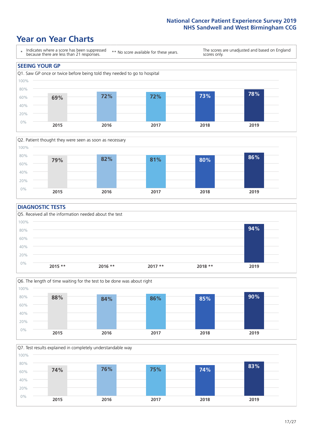### **Year on Year Charts**





### **DIAGNOSTIC TESTS**





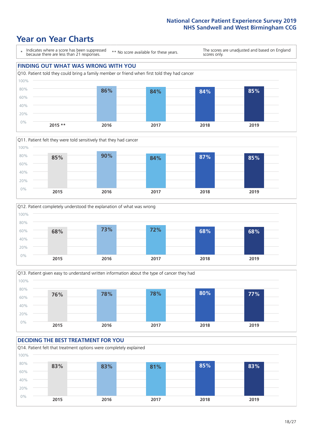







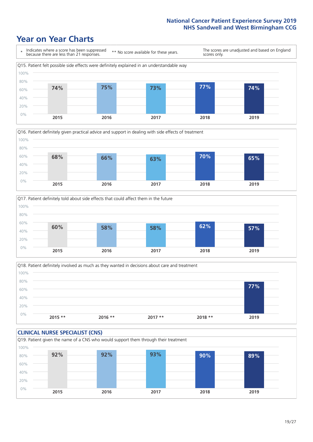





Q18. Patient definitely involved as much as they wanted in decisions about care and treatment  $0%$ 20% 40% 60% 80% 100% **2015 \*\* 2016 \*\* 2017 \*\* 2018 \*\* 2019 77%**

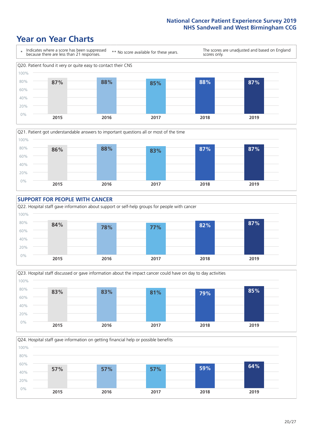









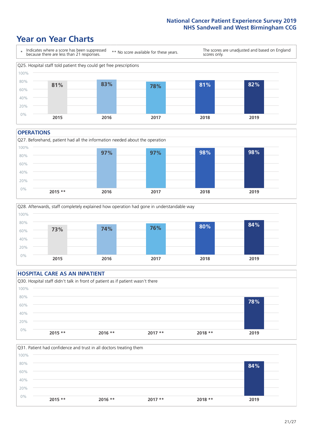### **Year on Year Charts**



#### **OPERATIONS**





### **HOSPITAL CARE AS AN INPATIENT** Q30. Hospital staff didn't talk in front of patient as if patient wasn't there 0% 20% 40% 60% 80% 100% **2015 \*\* 2016 \*\* 2017 \*\* 2018 \*\* 2019 78%**

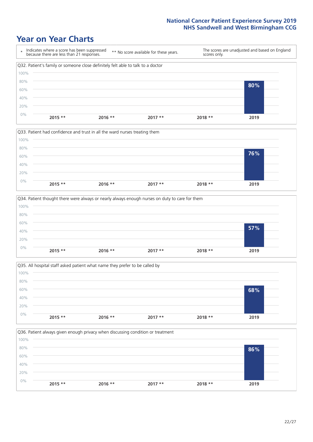







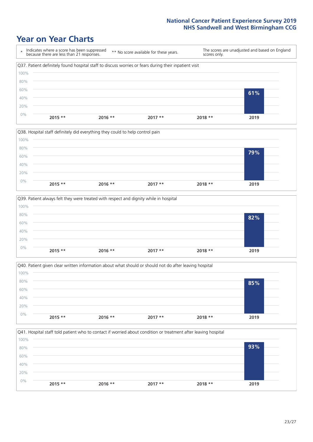







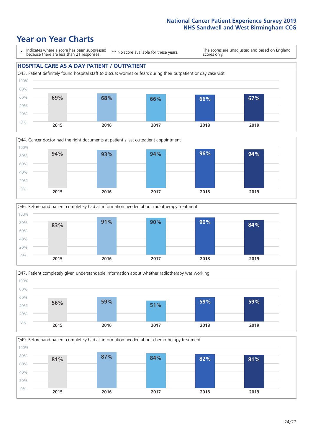### **Year on Year Charts**

\* Indicates where a score has been suppressed because there are less than 21 responses.

\*\* No score available for these years.

The scores are unadjusted and based on England scores only.

### **HOSPITAL CARE AS A DAY PATIENT / OUTPATIENT**









Q49. Beforehand patient completely had all information needed about chemotherapy treatment 0% 20% 40% 60% 80% 100% **2015 2016 2017 2018 2019 81% 87% 84% 82% 81%**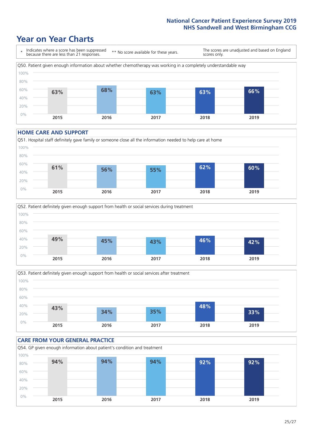### **Year on Year Charts**



#### **HOME CARE AND SUPPORT**







### **CARE FROM YOUR GENERAL PRACTICE** Q54. GP given enough information about patient's condition and treatment 0% 20% 40% 60% 80% 100% **2015 2016 2017 2018 2019 94% 94% 94% 92% 92%**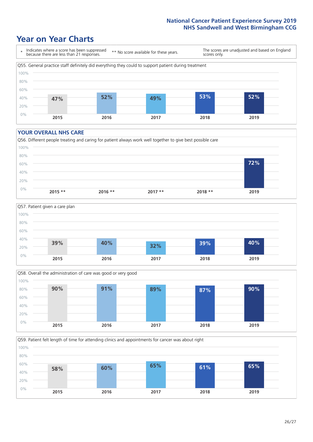### **Year on Year Charts**



#### **YOUR OVERALL NHS CARE**







Q59. Patient felt length of time for attending clinics and appointments for cancer was about right